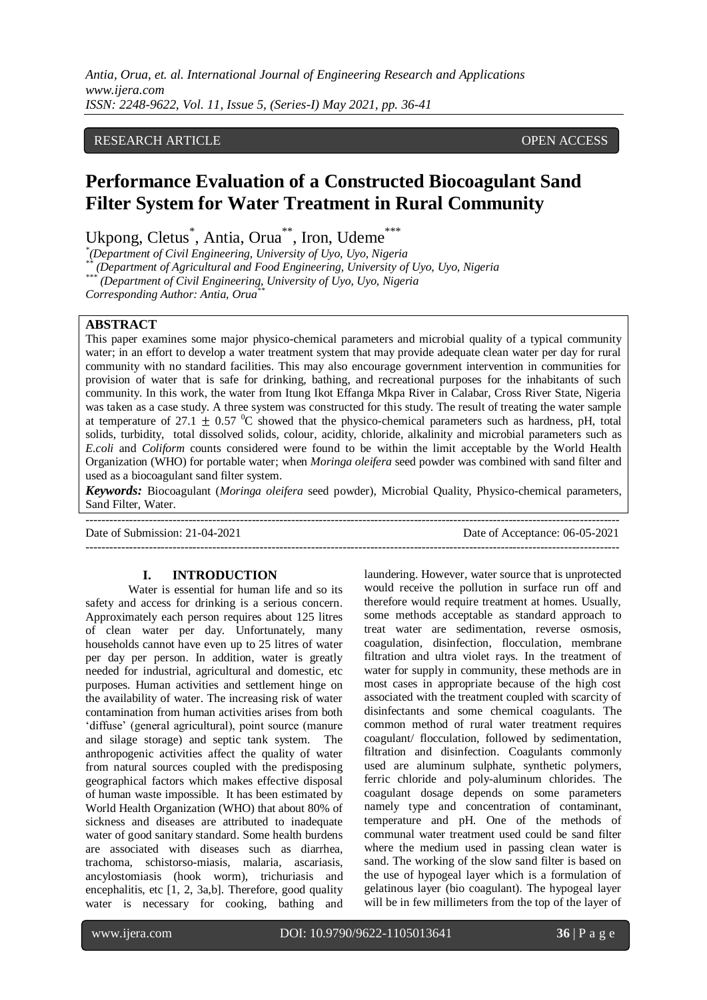*Antia, Orua, et. al. International Journal of Engineering Research and Applications www.ijera.com ISSN: 2248-9622, Vol. 11, Issue 5, (Series-I) May 2021, pp. 36-41*

# RESEARCH ARTICLE **OPEN ACCESS**

# **Performance Evaluation of a Constructed Biocoagulant Sand Filter System for Water Treatment in Rural Community**

Ukpong, Cletus<sup>\*</sup>, Antia, Orua<sup>\*\*</sup>, Iron, Udeme<sup>\*\*\*</sup>

*\* (Department of Civil Engineering, University of Uyo, Uyo, Nigeria*

*\*\* (Department of Agricultural and Food Engineering, University of Uyo, Uyo, Nigeria \*\*\**

*(Department of Civil Engineering, University of Uyo, Uyo, Nigeria*

*Corresponding Author: Antia, Orua\*\**

#### **ABSTRACT**

This paper examines some major physico-chemical parameters and microbial quality of a typical community water; in an effort to develop a water treatment system that may provide adequate clean water per day for rural community with no standard facilities. This may also encourage government intervention in communities for provision of water that is safe for drinking, bathing, and recreational purposes for the inhabitants of such community. In this work, the water from Itung Ikot Effanga Mkpa River in Calabar, Cross River State, Nigeria was taken as a case study. A three system was constructed for this study. The result of treating the water sample at temperature of 27.1  $\pm$  0.57 <sup>o</sup>C showed that the physico-chemical parameters such as hardness, pH, total solids, turbidity, total dissolved solids, colour, acidity, chloride, alkalinity and microbial parameters such as *E.coli* and *Coliform* counts considered were found to be within the limit acceptable by the World Health Organization (WHO) for portable water; when *Moringa oleifera* seed powder was combined with sand filter and used as a biocoagulant sand filter system.

*Keywords:* Biocoagulant (*Moringa oleifera* seed powder), Microbial Quality, Physico-chemical parameters, Sand Filter, Water.

--------------------------------------------------------------------------------------------------------------------------------------- Date of Submission: 21-04-2021 Date of Acceptance: 06-05-2021 ---------------------------------------------------------------------------------------------------------------------------------------

#### **I. INTRODUCTION**

Water is essential for human life and so its safety and access for drinking is a serious concern. Approximately each person requires about 125 litres of clean water per day. Unfortunately, many households cannot have even up to 25 litres of water per day per person. In addition, water is greatly needed for industrial, agricultural and domestic, etc purposes. Human activities and settlement hinge on the availability of water. The increasing risk of water contamination from human activities arises from both 'diffuse' (general agricultural), point source (manure and silage storage) and septic tank system. The anthropogenic activities affect the quality of water from natural sources coupled with the predisposing geographical factors which makes effective disposal of human waste impossible. It has been estimated by World Health Organization (WHO) that about 80% of sickness and diseases are attributed to inadequate water of good sanitary standard. Some health burdens are associated with diseases such as diarrhea, trachoma, schistorso-miasis, malaria, ascariasis, ancylostomiasis (hook worm), trichuriasis and encephalitis, etc [1, 2, 3a,b]. Therefore, good quality water is necessary for cooking, bathing and

laundering. However, water source that is unprotected would receive the pollution in surface run off and therefore would require treatment at homes. Usually, some methods acceptable as standard approach to treat water are sedimentation, reverse osmosis, coagulation, disinfection, flocculation, membrane filtration and ultra violet rays. In the treatment of water for supply in community, these methods are in most cases in appropriate because of the high cost associated with the treatment coupled with scarcity of disinfectants and some chemical coagulants. The common method of rural water treatment requires coagulant/ flocculation, followed by sedimentation, filtration and disinfection. Coagulants commonly used are aluminum sulphate, synthetic polymers, ferric chloride and poly-aluminum chlorides. The coagulant dosage depends on some parameters namely type and concentration of contaminant, temperature and pH. One of the methods of communal water treatment used could be sand filter where the medium used in passing clean water is sand. The working of the slow sand filter is based on the use of hypogeal layer which is a formulation of gelatinous layer (bio coagulant). The hypogeal layer will be in few millimeters from the top of the layer of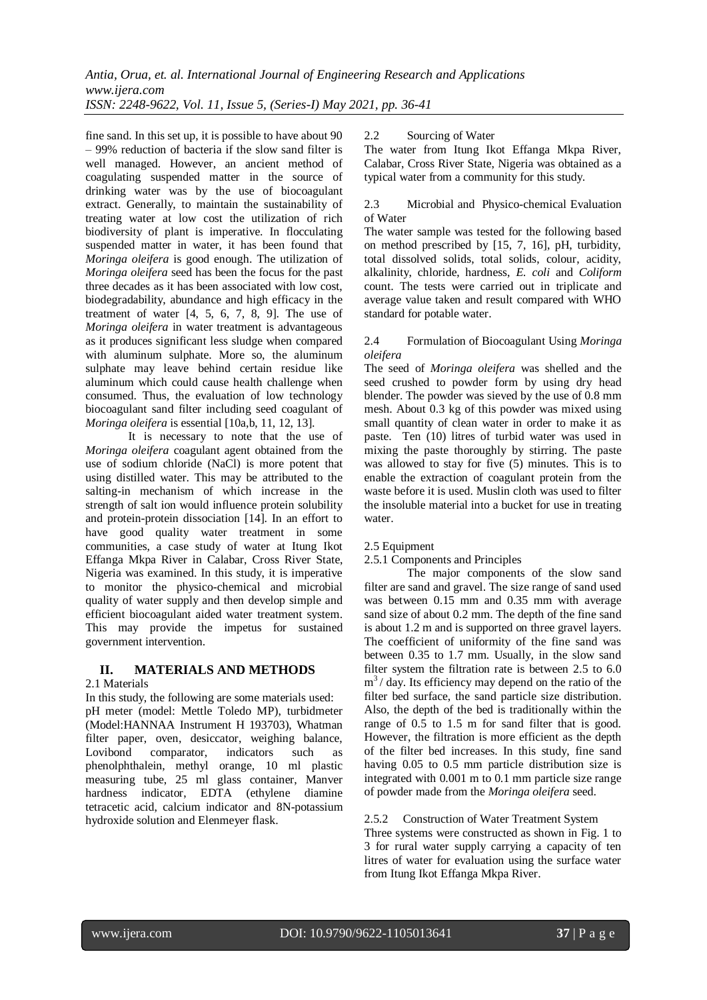fine sand. In this set up, it is possible to have about 90 – 99% reduction of bacteria if the slow sand filter is well managed. However, an ancient method of coagulating suspended matter in the source of drinking water was by the use of biocoagulant extract. Generally, to maintain the sustainability of treating water at low cost the utilization of rich biodiversity of plant is imperative. In flocculating suspended matter in water, it has been found that *Moringa oleifera* is good enough. The utilization of *Moringa oleifera* seed has been the focus for the past three decades as it has been associated with low cost, biodegradability, abundance and high efficacy in the treatment of water  $[4, 5, 6, 7, 8, 9]$ . The use of *Moringa oleifera* in water treatment is advantageous as it produces significant less sludge when compared with aluminum sulphate. More so, the aluminum sulphate may leave behind certain residue like aluminum which could cause health challenge when consumed. Thus, the evaluation of low technology biocoagulant sand filter including seed coagulant of *Moringa oleifera* is essential [10a,b, 11, 12, 13].

It is necessary to note that the use of *Moringa oleifera* coagulant agent obtained from the use of sodium chloride (NaCl) is more potent that using distilled water. This may be attributed to the salting-in mechanism of which increase in the strength of salt ion would influence protein solubility and protein-protein dissociation [14]. In an effort to have good quality water treatment in some communities, a case study of water at Itung Ikot Effanga Mkpa River in Calabar, Cross River State, Nigeria was examined. In this study, it is imperative to monitor the physico-chemical and microbial quality of water supply and then develop simple and efficient biocoagulant aided water treatment system. This may provide the impetus for sustained government intervention.

# **II. MATERIALS AND METHODS**

#### 2.1 Materials

In this study, the following are some materials used: pH meter (model: Mettle Toledo MP), turbidmeter (Model:HANNAA Instrument H 193703), Whatman filter paper, oven, desiccator, weighing balance, Lovibond comparator, indicators such as phenolphthalein, methyl orange, 10 ml plastic measuring tube, 25 ml glass container, Manver hardness indicator, EDTA (ethylene diamine tetracetic acid, calcium indicator and 8N-potassium hydroxide solution and Elenmeyer flask.

## 2.2 Sourcing of Water

The water from Itung Ikot Effanga Mkpa River, Calabar, Cross River State, Nigeria was obtained as a typical water from a community for this study.

#### 2.3 Microbial and Physico-chemical Evaluation of Water

The water sample was tested for the following based on method prescribed by [15, 7, 16], pH, turbidity, total dissolved solids, total solids, colour, acidity, alkalinity, chloride, hardness, *E. coli* and *Coliform*  count. The tests were carried out in triplicate and average value taken and result compared with WHO standard for potable water.

## 2.4 Formulation of Biocoagulant Using *Moringa oleifera*

The seed of *Moringa oleifera* was shelled and the seed crushed to powder form by using dry head blender. The powder was sieved by the use of 0.8 mm mesh. About 0.3 kg of this powder was mixed using small quantity of clean water in order to make it as paste. Ten (10) litres of turbid water was used in mixing the paste thoroughly by stirring. The paste was allowed to stay for five (5) minutes. This is to enable the extraction of coagulant protein from the waste before it is used. Muslin cloth was used to filter the insoluble material into a bucket for use in treating water.

## 2.5 Equipment

## 2.5.1 Components and Principles

The major components of the slow sand filter are sand and gravel. The size range of sand used was between 0.15 mm and 0.35 mm with average sand size of about 0.2 mm. The depth of the fine sand is about 1.2 m and is supported on three gravel layers. The coefficient of uniformity of the fine sand was between 0.35 to 1.7 mm. Usually, in the slow sand filter system the filtration rate is between 2.5 to 6.0  $m<sup>3</sup>$  / day. Its efficiency may depend on the ratio of the filter bed surface, the sand particle size distribution. Also, the depth of the bed is traditionally within the range of 0.5 to 1.5 m for sand filter that is good. However, the filtration is more efficient as the depth of the filter bed increases. In this study, fine sand having 0.05 to 0.5 mm particle distribution size is integrated with 0.001 m to 0.1 mm particle size range of powder made from the *Moringa oleifera* seed.

## 2.5.2 Construction of Water Treatment System

Three systems were constructed as shown in Fig. 1 to 3 for rural water supply carrying a capacity of ten litres of water for evaluation using the surface water from Itung Ikot Effanga Mkpa River.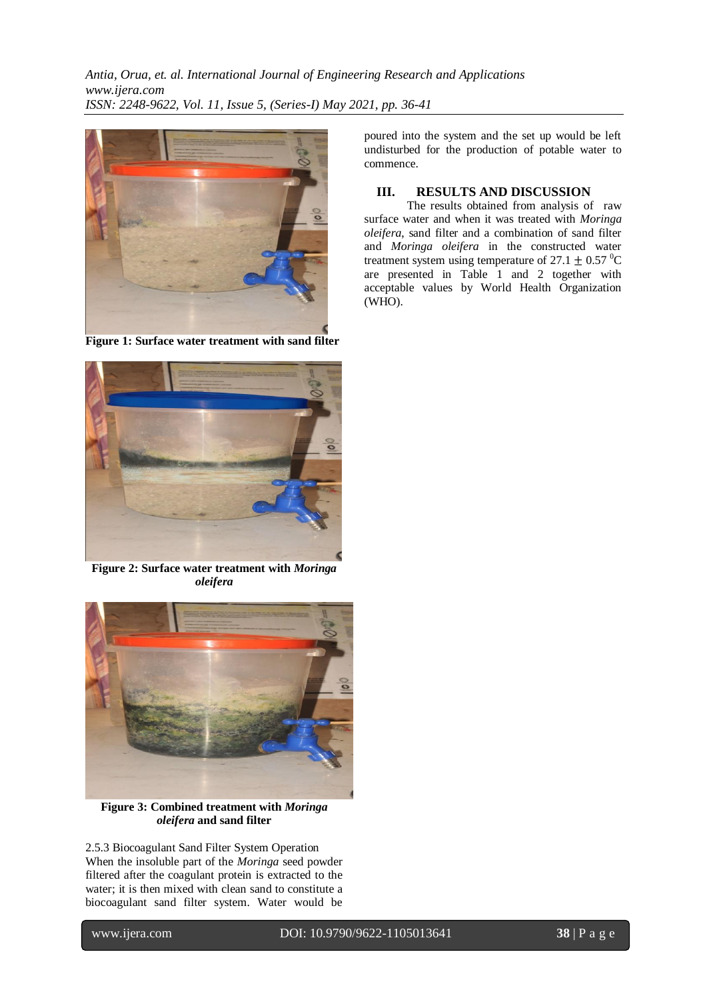*Antia, Orua, et. al. International Journal of Engineering Research and Applications www.ijera.com ISSN: 2248-9622, Vol. 11, Issue 5, (Series-I) May 2021, pp. 36-41*



**Figure 1: Surface water treatment with sand filter**



**Figure 2: Surface water treatment with** *Moringa oleifera*



**Figure 3: Combined treatment with** *Moringa oleifera* **and sand filter**

2.5.3 Biocoagulant Sand Filter System Operation When the insoluble part of the *Moringa* seed powder filtered after the coagulant protein is extracted to the water; it is then mixed with clean sand to constitute a biocoagulant sand filter system. Water would be

poured into the system and the set up would be left undisturbed for the production of potable water to commence.

# **III. RESULTS AND DISCUSSION**

The results obtained from analysis of raw surface water and when it was treated with *Moringa oleifera*, sand filter and a combination of sand filter and *Moringa oleifera* in the constructed water treatment system using temperature of  $27.1 \pm 0.57$  °C are presented in Table 1 and 2 together with acceptable values by World Health Organization (WHO).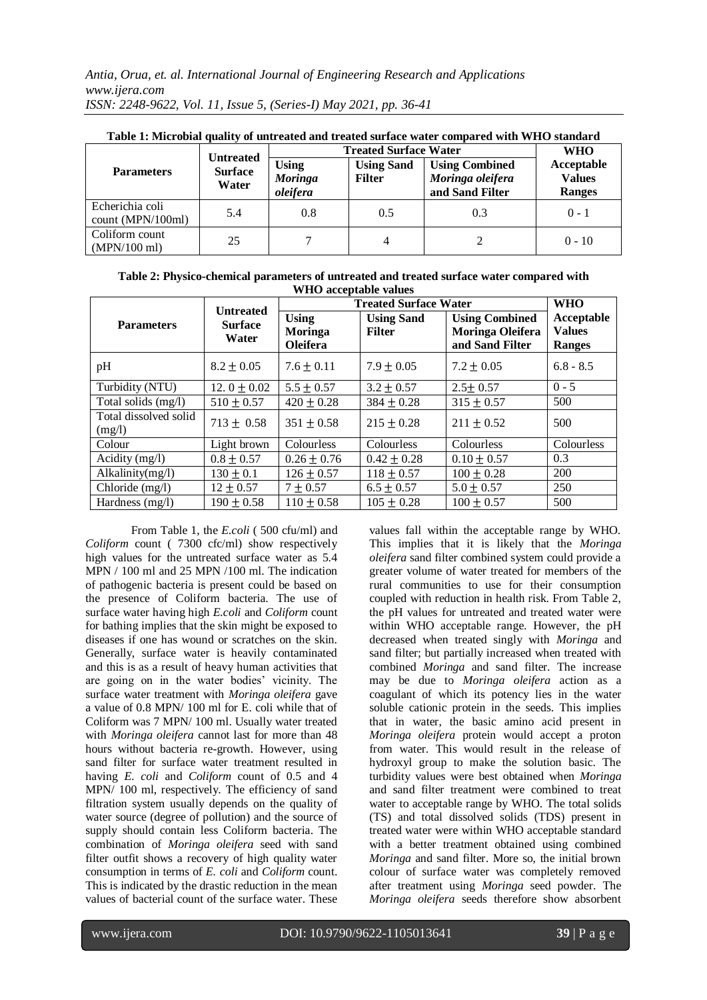| Table 1. MICrobial quality of unificated and if calcul surface water compared with WHO standard<br><b>Parameters</b> | <b>Untreated</b><br><b>Surface</b><br>Water | <b>Treated Surface Water</b>               | <b>WHO</b>                         |                                                              |                                              |
|----------------------------------------------------------------------------------------------------------------------|---------------------------------------------|--------------------------------------------|------------------------------------|--------------------------------------------------------------|----------------------------------------------|
|                                                                                                                      |                                             | <b>Using</b><br><b>Moringa</b><br>oleifera | <b>Using Sand</b><br><b>Filter</b> | <b>Using Combined</b><br>Moringa oleifera<br>and Sand Filter | Acceptable<br><b>Values</b><br><b>Ranges</b> |
| Echerichia coli<br>count (MPN/100ml)                                                                                 | 5.4                                         | 0.8                                        | 0.5                                | 0.3                                                          | $0 - 1$                                      |
| Coliform count<br>$(MPN/100 \text{ ml})$                                                                             | 25                                          |                                            |                                    |                                                              | $0 - 10$                                     |

| Table 1: Microbial quality of untreated and treated surface water compared with WHO standard |  |
|----------------------------------------------------------------------------------------------|--|
|----------------------------------------------------------------------------------------------|--|

**Table 2: Physico-chemical parameters of untreated and treated surface water compared with WHO acceptable values**

|                                 | <b>Untreated</b>        | <b>Treated Surface Water</b>               | <b>WHO</b>                         |                                                                     |                                              |
|---------------------------------|-------------------------|--------------------------------------------|------------------------------------|---------------------------------------------------------------------|----------------------------------------------|
| <b>Parameters</b>               | <b>Surface</b><br>Water | <b>Using</b><br>Moringa<br><b>Oleifera</b> | <b>Using Sand</b><br><b>Filter</b> | <b>Using Combined</b><br><b>Moringa Oleifera</b><br>and Sand Filter | Acceptable<br><b>Values</b><br><b>Ranges</b> |
| pH                              | $8.2 \pm 0.05$          | $7.6 \pm 0.11$                             | $7.9 + 0.05$                       | $7.2 + 0.05$                                                        | $6.8 - 8.5$                                  |
| Turbidity (NTU)                 | 12. $0 \pm 0.02$        | $5.5 \pm 0.57$                             | $3.2 + 0.57$                       | $2.5 \pm 0.57$                                                      | $0 - 5$                                      |
| Total solids (mg/l)             | $510 \pm 0.57$          | $420 + 0.28$                               | $384 + 0.28$                       | $315 \pm 0.57$                                                      | 500                                          |
| Total dissolved solid<br>(mg/l) | $713 \pm 0.58$          | $351 + 0.58$                               | $215 + 0.28$                       | $211 + 0.52$                                                        | 500                                          |
| Colour                          | Light brown             | Colourless                                 | Colourless                         | <b>Colourless</b>                                                   | Colourless                                   |
| Acidity $(mg/l)$                | $0.8 \pm 0.57$          | $0.26 \pm 0.76$                            | $0.42 \pm 0.28$                    | $0.10 \pm 0.57$                                                     | 0.3                                          |
| Alkalinity(mg/l)                | $130 \pm 0.1$           | $126 \pm 0.57$                             | $118 \pm 0.57$                     | $100 \pm 0.28$                                                      | <b>200</b>                                   |
| Chloride (mg/l)                 | $12 \pm 0.57$           | $7 + 0.57$                                 | $6.5 + 0.57$                       | $5.0 \pm 0.57$                                                      | 250                                          |
| Hardness (mg/l)                 | $190 \pm 0.58$          | $110 \pm 0.58$                             | $105 + 0.28$                       | $100 \pm 0.57$                                                      | 500                                          |

From Table 1, the *E.coli* ( 500 cfu/ml) and *Coliform* count ( 7300 cfc/ml) show respectively high values for the untreated surface water as 5.4 MPN / 100 ml and 25 MPN /100 ml. The indication of pathogenic bacteria is present could be based on the presence of Coliform bacteria. The use of surface water having high *E.coli* and *Coliform* count for bathing implies that the skin might be exposed to diseases if one has wound or scratches on the skin. Generally, surface water is heavily contaminated and this is as a result of heavy human activities that are going on in the water bodies' vicinity. The surface water treatment with *Moringa oleifera* gave a value of 0.8 MPN/ 100 ml for E. coli while that of Coliform was 7 MPN/ 100 ml. Usually water treated with *Moringa oleifera* cannot last for more than 48 hours without bacteria re-growth. However, using sand filter for surface water treatment resulted in having *E. coli* and *Coliform* count of 0.5 and 4 MPN/ 100 ml, respectively. The efficiency of sand filtration system usually depends on the quality of water source (degree of pollution) and the source of supply should contain less Coliform bacteria. The combination of *Moringa oleifera* seed with sand filter outfit shows a recovery of high quality water consumption in terms of *E. coli* and *Coliform* count. This is indicated by the drastic reduction in the mean values of bacterial count of the surface water. These

values fall within the acceptable range by WHO. This implies that it is likely that the *Moringa oleifera* sand filter combined system could provide a greater volume of water treated for members of the rural communities to use for their consumption coupled with reduction in health risk. From Table 2, the pH values for untreated and treated water were within WHO acceptable range. However, the pH decreased when treated singly with *Moringa* and sand filter; but partially increased when treated with combined *Moringa* and sand filter. The increase may be due to *Moringa oleifera* action as a coagulant of which its potency lies in the water soluble cationic protein in the seeds. This implies that in water, the basic amino acid present in *Moringa oleifera* protein would accept a proton from water. This would result in the release of hydroxyl group to make the solution basic. The turbidity values were best obtained when *Moringa*  and sand filter treatment were combined to treat water to acceptable range by WHO. The total solids (TS) and total dissolved solids (TDS) present in treated water were within WHO acceptable standard with a better treatment obtained using combined *Moringa* and sand filter. More so, the initial brown colour of surface water was completely removed after treatment using *Moringa* seed powder. The *Moringa oleifera* seeds therefore show absorbent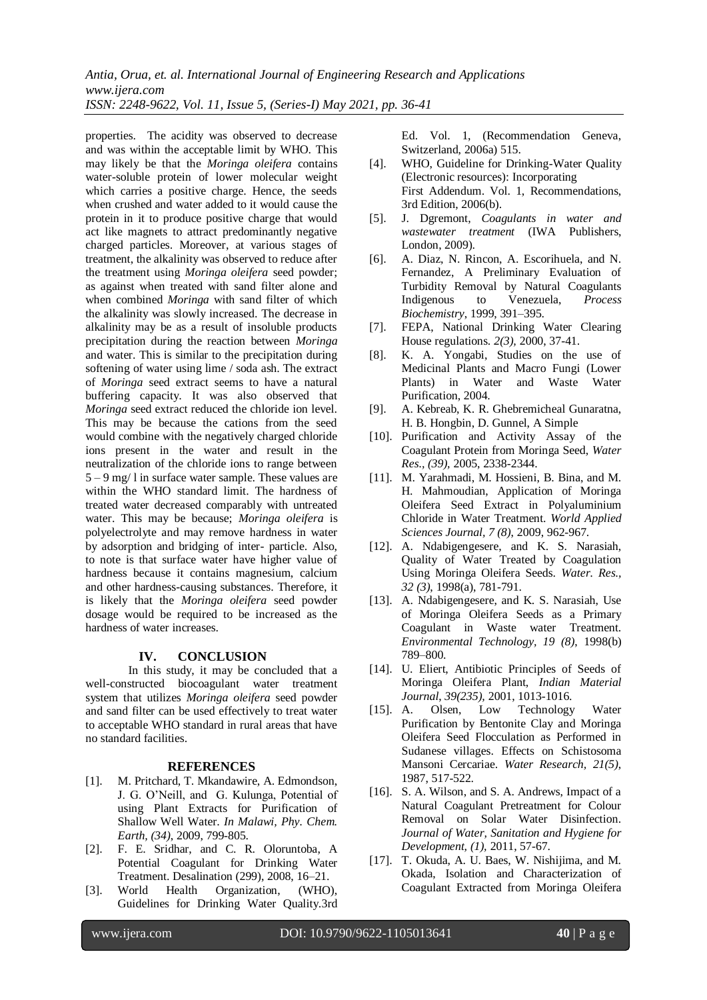*Antia, Orua, et. al. International Journal of Engineering Research and Applications www.ijera.com ISSN: 2248-9622, Vol. 11, Issue 5, (Series-I) May 2021, pp. 36-41*

properties. The acidity was observed to decrease and was within the acceptable limit by WHO. This may likely be that the *Moringa oleifera* contains water-soluble protein of lower molecular weight which carries a positive charge. Hence, the seeds when crushed and water added to it would cause the protein in it to produce positive charge that would act like magnets to attract predominantly negative charged particles. Moreover, at various stages of treatment, the alkalinity was observed to reduce after the treatment using *Moringa oleifera* seed powder; as against when treated with sand filter alone and when combined *Moringa* with sand filter of which the alkalinity was slowly increased. The decrease in alkalinity may be as a result of insoluble products precipitation during the reaction between *Moringa*  and water. This is similar to the precipitation during softening of water using lime / soda ash. The extract of *Moringa* seed extract seems to have a natural buffering capacity. It was also observed that *Moringa* seed extract reduced the chloride ion level. This may be because the cations from the seed would combine with the negatively charged chloride ions present in the water and result in the neutralization of the chloride ions to range between 5 – 9 mg/ l in surface water sample. These values are within the WHO standard limit. The hardness of treated water decreased comparably with untreated water. This may be because; *Moringa oleifera* is polyelectrolyte and may remove hardness in water by adsorption and bridging of inter- particle. Also, to note is that surface water have higher value of hardness because it contains magnesium, calcium and other hardness-causing substances. Therefore, it is likely that the *Moringa oleifera* seed powder dosage would be required to be increased as the hardness of water increases.

#### **IV. CONCLUSION**

In this study, it may be concluded that a well-constructed biocoagulant water treatment system that utilizes *Moringa oleifera* seed powder and sand filter can be used effectively to treat water to acceptable WHO standard in rural areas that have no standard facilities.

#### **REFERENCES**

- [1]. M. Pritchard, T. Mkandawire, A. Edmondson, J. G. O'Neill, and G. Kulunga, Potential of using Plant Extracts for Purification of Shallow Well Water. *In Malawi, Phy. Chem. Earth, (34)*, 2009, 799-805.
- [2]. F. E. Sridhar, and C. R. Oloruntoba, A Potential Coagulant for Drinking Water Treatment. Desalination (299), 2008, 16–21.
- [3]. World Health Organization, (WHO), Guidelines for Drinking Water Quality.3rd

Ed. Vol. 1, (Recommendation Geneva, Switzerland, 2006a) 515.

- [4]. WHO, Guideline for Drinking-Water Quality (Electronic resources): Incorporating First Addendum. Vol. 1, Recommendations, 3rd Edition, 2006(b).
- [5]. J. Dgremont, *Coagulants in water and wastewater treatment* (IWA Publishers, London, 2009).
- [6]. A. Diaz, N. Rincon, A. Escorihuela, and N. Fernandez, A Preliminary Evaluation of Turbidity Removal by Natural Coagulants Indigenous to Venezuela, *Process Biochemistry*, 1999, 391–395.
- [7]. FEPA, National Drinking Water Clearing House regulations. *2(3),* 2000, 37-41.
- [8]. K. A. Yongabi, Studies on the use of Medicinal Plants and Macro Fungi (Lower Plants) in Water and Waste Water Purification, 2004.
- [9]. A. Kebreab, K. R. Ghebremicheal Gunaratna, H. B. Hongbin, D. Gunnel, A Simple
- [10]. Purification and Activity Assay of the Coagulant Protein from Moringa Seed, *Water Res., (39),* 2005, 2338-2344.
- [11]. M. Yarahmadi, M. Hossieni, B. Bina, and M. H. Mahmoudian, Application of Moringa Oleifera Seed Extract in Polyaluminium Chloride in Water Treatment. *World Applied Sciences Journal, 7 (8)*, 2009, 962-967.
- [12]. A. Ndabigengesere, and K. S. Narasiah, Quality of Water Treated by Coagulation Using Moringa Oleifera Seeds. *Water. Res., 32 (3)*, 1998(a), 781-791.
- [13]. A. Ndabigengesere, and K. S. Narasiah, Use of Moringa Oleifera Seeds as a Primary Coagulant in Waste water Treatment. *Environmental Technology, 19 (8)*, 1998(b) 789–800.
- [14]. U. Eliert, Antibiotic Principles of Seeds of Moringa Oleifera Plant, *Indian Material Journal*, *39(235),* 2001, 1013-1016.
- [15]. A. Olsen, Low Technology Water Purification by Bentonite Clay and Moringa Oleifera Seed Flocculation as Performed in Sudanese villages. Effects on Schistosoma Mansoni Cercariae. *Water Research, 21(5)*, 1987, 517-522.
- [16]. S. A. Wilson, and S. A. Andrews, Impact of a Natural Coagulant Pretreatment for Colour Removal on Solar Water Disinfection. *Journal of Water, Sanitation and Hygiene for Development, (1),* 2011, 57-67.
- [17]. T. Okuda, A. U. Baes, W. Nishijima, and M. Okada, Isolation and Characterization of Coagulant Extracted from Moringa Oleifera